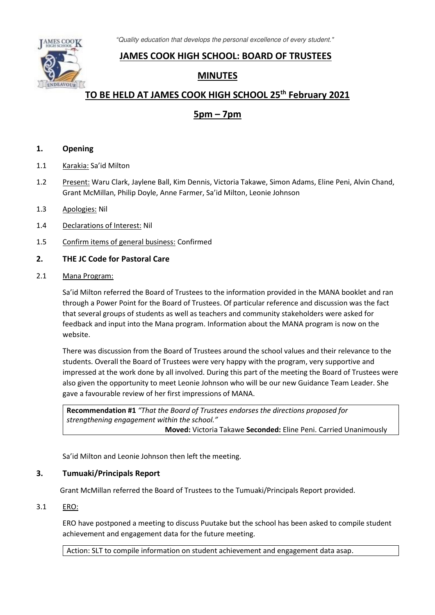*"*Quality education that develops the personal excellence of every student."



## **JAMES COOK HIGH SCHOOL: BOARD OF TRUSTEES**

## **MINUTES**

# **TO BE HELD AT JAMES COOK HIGH SCHOOL 25th February 2021**

## **5pm – 7pm**

## **1. Opening**

- 1.1 Karakia: Sa'id Milton
- 1.2 Present: Waru Clark, Jaylene Ball, Kim Dennis, Victoria Takawe, Simon Adams, Eline Peni, Alvin Chand, Grant McMillan, Philip Doyle, Anne Farmer, Sa'id Milton, Leonie Johnson
- 1.3 Apologies: Nil
- 1.4 Declarations of Interest: Nil
- 1.5 Confirm items of general business: Confirmed

## **2. THE JC Code for Pastoral Care**

2.1 Mana Program:

Sa'id Milton referred the Board of Trustees to the information provided in the MANA booklet and ran through a Power Point for the Board of Trustees. Of particular reference and discussion was the fact that several groups of students as well as teachers and community stakeholders were asked for feedback and input into the Mana program. Information about the MANA program is now on the website.

There was discussion from the Board of Trustees around the school values and their relevance to the students. Overall the Board of Trustees were very happy with the program, very supportive and impressed at the work done by all involved. During this part of the meeting the Board of Trustees were also given the opportunity to meet Leonie Johnson who will be our new Guidance Team Leader. She gave a favourable review of her first impressions of MANA.

**Recommendation #1** *"That the Board of Trustees endorses the directions proposed for strengthening engagement within the school."* **Moved:** Victoria Takawe **Seconded:** Eline Peni. Carried Unanimously

Sa'id Milton and Leonie Johnson then left the meeting.

## **3. Tumuaki/Principals Report**

Grant McMillan referred the Board of Trustees to the Tumuaki/Principals Report provided.

#### 3.1 ERO:

ERO have postponed a meeting to discuss Puutake but the school has been asked to compile student achievement and engagement data for the future meeting.

Action: SLT to compile information on student achievement and engagement data asap.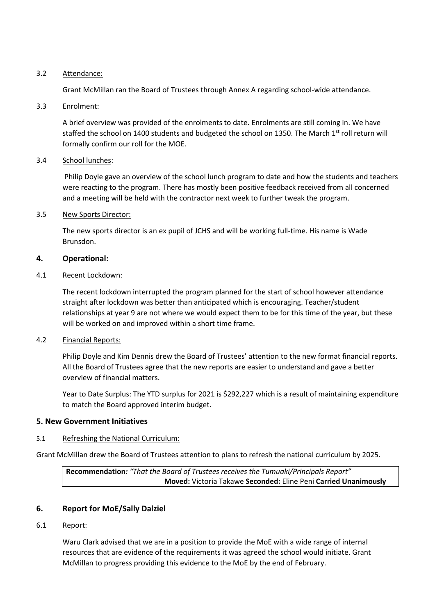#### 3.2 Attendance:

Grant McMillan ran the Board of Trustees through Annex A regarding school-wide attendance.

#### 3.3 Enrolment:

A brief overview was provided of the enrolments to date. Enrolments are still coming in. We have staffed the school on 1400 students and budgeted the school on 1350. The March 1st roll return will formally confirm our roll for the MOE.

## 3.4 School lunches:

 Philip Doyle gave an overview of the school lunch program to date and how the students and teachers were reacting to the program. There has mostly been positive feedback received from all concerned and a meeting will be held with the contractor next week to further tweak the program.

## 3.5 New Sports Director:

The new sports director is an ex pupil of JCHS and will be working full-time. His name is Wade Brunsdon.

## **4. Operational:**

## 4.1 Recent Lockdown:

The recent lockdown interrupted the program planned for the start of school however attendance straight after lockdown was better than anticipated which is encouraging. Teacher/student relationships at year 9 are not where we would expect them to be for this time of the year, but these will be worked on and improved within a short time frame.

#### 4.2 Financial Reports:

Philip Doyle and Kim Dennis drew the Board of Trustees' attention to the new format financial reports. All the Board of Trustees agree that the new reports are easier to understand and gave a better overview of financial matters.

Year to Date Surplus: The YTD surplus for 2021 is \$292,227 which is a result of maintaining expenditure to match the Board approved interim budget.

## **5. New Government Initiatives**

## 5.1 Refreshing the National Curriculum:

Grant McMillan drew the Board of Trustees attention to plans to refresh the national curriculum by 2025.

**Recommendation***: "That the Board of Trustees receives the Tumuaki/Principals Report"*  **Moved:** Victoria Takawe **Seconded:** Eline Peni **Carried Unanimously**

## **6. Report for MoE/Sally Dalziel**

#### 6.1 Report:

Waru Clark advised that we are in a position to provide the MoE with a wide range of internal resources that are evidence of the requirements it was agreed the school would initiate. Grant McMillan to progress providing this evidence to the MoE by the end of February.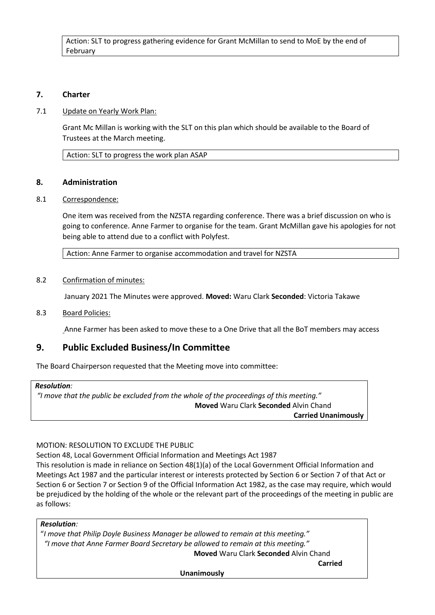Action: SLT to progress gathering evidence for Grant McMillan to send to MoE by the end of February

## **7. Charter**

#### 7.1 Update on Yearly Work Plan:

Grant Mc Millan is working with the SLT on this plan which should be available to the Board of Trustees at the March meeting.

Action: SLT to progress the work plan ASAP

#### **8. Administration**

## 8.1 Correspondence:

One item was received from the NZSTA regarding conference. There was a brief discussion on who is going to conference. Anne Farmer to organise for the team. Grant McMillan gave his apologies for not being able to attend due to a conflict with Polyfest.

Action: Anne Farmer to organise accommodation and travel for NZSTA

#### 8.2 Confirmation of minutes:

January 2021 The Minutes were approved. **Moved:** Waru Clark **Seconded**: Victoria Takawe

#### 8.3 Board Policies:

Anne Farmer has been asked to move these to a One Drive that all the BoT members may access

## **9. Public Excluded Business/In Committee**

The Board Chairperson requested that the Meeting move into committee:

#### *Resolution:*

*"I move that the public be excluded from the whole of the proceedings of this meeting."* **Moved** Waru Clark **Seconded** Alvin Chand **Carried Unanimously** 

## MOTION: RESOLUTION TO EXCLUDE THE PUBLIC

Section 48, Local Government Official Information and Meetings Act 1987

This resolution is made in reliance on Section 48(1)(a) of the Local Government Official Information and Meetings Act 1987 and the particular interest or interests protected by Section 6 or Section 7 of that Act or Section 6 or Section 7 or Section 9 of the Official Information Act 1982, as the case may require, which would be prejudiced by the holding of the whole or the relevant part of the proceedings of the meeting in public are as follows:

## *Resolution:*

"*I move that Philip Doyle Business Manager be allowed to remain at this meeting." "I move that Anne Farmer Board Secretary be allowed to remain at this meeting."* 

**Moved** Waru Clark **Seconded** Alvin Chand

**Unanimously**

 *Carried* **Carried Carried**